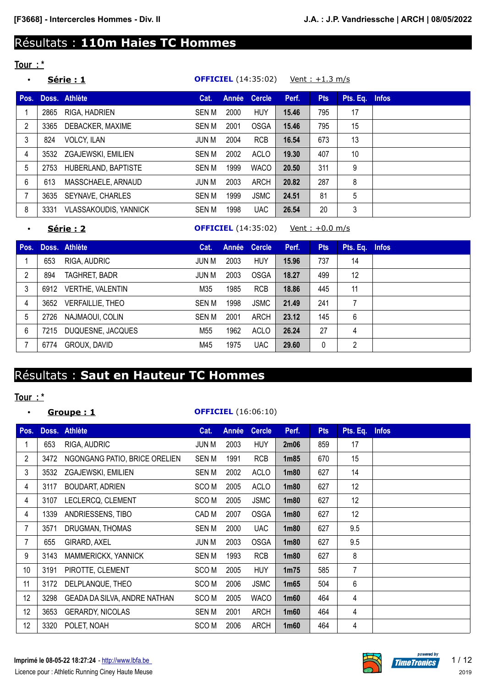# Résultats : **110m Haies TC Hommes**

# **Tour : \***

|      |                              | Cat.                                                                        |      | <b>Cercle</b> | Perf. | <b>Pts</b>                 | Pts. Eq. $\overline{a}$ | <b>Infos</b>                       |
|------|------------------------------|-----------------------------------------------------------------------------|------|---------------|-------|----------------------------|-------------------------|------------------------------------|
| 2865 | RIGA, HADRIEN                | <b>SEN M</b>                                                                | 2000 | <b>HUY</b>    | 15.46 | 795                        | 17                      |                                    |
| 3365 | DEBACKER, MAXIME             | <b>SEN M</b>                                                                | 2001 | <b>OSGA</b>   | 15.46 | 795                        | 15                      |                                    |
| 824  | <b>VOLCY, ILAN</b>           | JUN M                                                                       | 2004 | <b>RCB</b>    | 16.54 | 673                        | 13                      |                                    |
| 3532 |                              | <b>SEN M</b>                                                                | 2002 | ACLO          | 19.30 | 407                        | 10                      |                                    |
| 2753 | HUBERLAND, BAPTISTE          | <b>SEN M</b>                                                                | 1999 | <b>WACO</b>   | 20.50 | 311                        | 9                       |                                    |
| 613  | MASSCHAELE, ARNAUD           | JUN M                                                                       | 2003 | ARCH          | 20.82 | 287                        | 8                       |                                    |
| 3635 |                              | <b>SEN M</b>                                                                | 1999 | <b>JSMC</b>   | 24.51 | 81                         | 5                       |                                    |
| 3331 | <b>VLASSAKOUDIS, YANNICK</b> | <b>SEN M</b>                                                                | 1998 | <b>UAC</b>    | 26.54 | 20                         | 3                       |                                    |
|      |                              | <b>Série : 1</b><br>Doss. Athlète<br>ZGAJEWSKI, EMILIEN<br>SEYNAVE, CHARLES |      |               | Année | <b>OFFICIEL</b> (14:35:02) |                         | <u>Vent: <math>+1.3</math> m/s</u> |

• **Série : 2 OFFICIEL** (14:35:02) Vent : +0.0 m/s

| Pos. |      | Doss. Athlète           | Cat.         |      | Année Cercle | Perf. | <b>Pts</b> | Pts. Eq. | <b>Infos</b> |
|------|------|-------------------------|--------------|------|--------------|-------|------------|----------|--------------|
|      | 653  | RIGA, AUDRIC            | JUN M        | 2003 | <b>HUY</b>   | 15.96 | 737        | 14       |              |
| 2    | 894  | TAGHRET, BADR           | JUN M        | 2003 | <b>OSGA</b>  | 18.27 | 499        | 12       |              |
| 3    | 6912 | <b>VERTHE, VALENTIN</b> | M35          | 1985 | <b>RCB</b>   | 18.86 | 445        | 11       |              |
| 4    | 3652 | <b>VERFAILLIE, THEO</b> | <b>SEN M</b> | 1998 | <b>JSMC</b>  | 21.49 | 241        |          |              |
| 5    | 2726 | NAJMAOUI, COLIN         | <b>SEN M</b> | 2001 | ARCH         | 23.12 | 145        | 6        |              |
| 6    | 7215 | DUQUESNE, JACQUES       | M55          | 1962 | <b>ACLO</b>  | 26.24 | 27         | 4        |              |
|      | 6774 | GROUX, DAVID            | M45          | 1975 | <b>UAC</b>   | 29.60 | 0          | 2        |              |

# Résultats : **Saut en Hauteur TC Hommes**

## **Tour : \***

## • **Groupe : 1 OFFICIEL** (16:06:10)

| Pos.           |      | Doss. Athlète                       | Cat.             | Année | <b>Cercle</b> | Perf.             | <b>Pts</b> | Pts. Eq. | <b>Infos</b> |
|----------------|------|-------------------------------------|------------------|-------|---------------|-------------------|------------|----------|--------------|
|                | 653  | RIGA, AUDRIC                        | JUN M            | 2003  | <b>HUY</b>    | 2m06              | 859        | 17       |              |
| $\overline{2}$ | 3472 | NGONGANG PATIO, BRICE ORELIEN       | <b>SENM</b>      | 1991  | <b>RCB</b>    | 1 <sub>m85</sub>  | 670        | 15       |              |
| 3              | 3532 | ZGAJEWSKI, EMILIEN                  | SEN M            | 2002  | <b>ACLO</b>   | 1 <sub>m80</sub>  | 627        | 14       |              |
| 4              | 3117 | <b>BOUDART, ADRIEN</b>              | SCO <sub>M</sub> | 2005  | <b>ACLO</b>   | 1 <sub>m80</sub>  | 627        | 12       |              |
| 4              | 3107 | LECLERCQ, CLEMENT                   | SCO M            | 2005  | <b>JSMC</b>   | 1 <sub>m80</sub>  | 627        | 12       |              |
| 4              | 1339 | ANDRIESSENS, TIBO                   | CAD M            | 2007  | <b>OSGA</b>   | 1 <sub>m80</sub>  | 627        | 12       |              |
| 7              | 3571 | DRUGMAN, THOMAS                     | SEN M            | 2000  | <b>UAC</b>    | 1 <sub>m80</sub>  | 627        | 9.5      |              |
| 7              | 655  | GIRARD, AXEL                        | JUN M            | 2003  | <b>OSGA</b>   | 1 <sub>m80</sub>  | 627        | 9.5      |              |
| 9              | 3143 | MAMMERICKX, YANNICK                 | <b>SENM</b>      | 1993  | <b>RCB</b>    | 1 <sub>m80</sub>  | 627        | 8        |              |
| 10             | 3191 | PIROTTE, CLEMENT                    | SCO M            | 2005  | <b>HUY</b>    | 1 <sub>m</sub> 75 | 585        | 7        |              |
| 11             | 3172 | DELPLANQUE, THEO                    | SCO M            | 2006  | <b>JSMC</b>   | 1 <sub>m65</sub>  | 504        | 6        |              |
| 12             | 3298 | <b>GEADA DA SILVA, ANDRE NATHAN</b> | SCO M            | 2005  | <b>WACO</b>   | 1m60              | 464        | 4        |              |
| 12             | 3653 | <b>GERARDY, NICOLAS</b>             | SEN M            | 2001  | <b>ARCH</b>   | 1 <sub>m</sub> 60 | 464        | 4        |              |
| 12             | 3320 | POLET, NOAH                         | SCO M            | 2006  | <b>ARCH</b>   | 1m60              | 464        | 4        |              |

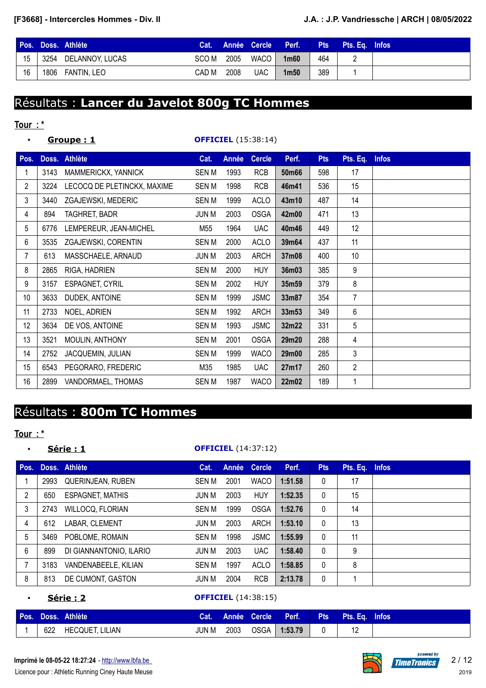|    | Pos. Doss. Athlète   |            |      |             | Cat. Année Cercle Perf. | <b>Pts</b> | <b>Pts. E</b> a. Infos |  |
|----|----------------------|------------|------|-------------|-------------------------|------------|------------------------|--|
| 15 | 3254 DELANNOY, LUCAS | SCO M 2005 |      | WACO $\Box$ | 1 <sub>m60</sub>        | 464        |                        |  |
| 16 | 1806 FANTIN, LEO     | CAD M      | 2008 | <b>UAC</b>  | 1 <sub>m50</sub>        | 389        |                        |  |

# Résultats : **Lancer du Javelot 800g TC Hommes**

# **Tour : \***

| $\bullet$      |      | Groupe: 1                   |              |       | <b>OFFICIEL</b> (15:38:14) |       |            |                |              |
|----------------|------|-----------------------------|--------------|-------|----------------------------|-------|------------|----------------|--------------|
| Pos.           |      | Doss. Athlète               | Cat.         | Année | <b>Cercle</b>              | Perf. | <b>Pts</b> | Pts. Eq.       | <b>Infos</b> |
| 1              | 3143 | MAMMERICKX, YANNICK         | SEN M        | 1993  | <b>RCB</b>                 | 50m66 | 598        | 17             |              |
| $\overline{2}$ | 3224 | LECOCQ DE PLETINCKX, MAXIME | <b>SENM</b>  | 1998  | <b>RCB</b>                 | 46m41 | 536        | 15             |              |
| 3              | 3440 | ZGAJEWSKI, MEDERIC          | SEN M        | 1999  | <b>ACLO</b>                | 43m10 | 487        | 14             |              |
| 4              | 894  | TAGHRET, BADR               | <b>JUN M</b> | 2003  | <b>OSGA</b>                | 42m00 | 471        | 13             |              |
| 5              | 6776 | LEMPEREUR, JEAN-MICHEL      | M55          | 1964  | <b>UAC</b>                 | 40m46 | 449        | 12             |              |
| 6              | 3535 | ZGAJEWSKI, CORENTIN         | <b>SENM</b>  | 2000  | <b>ACLO</b>                | 39m64 | 437        | 11             |              |
| $\overline{7}$ | 613  | MASSCHAELE, ARNAUD          | <b>JUN M</b> | 2003  | <b>ARCH</b>                | 37m08 | 400        | 10             |              |
| 8              | 2865 | RIGA, HADRIEN               | <b>SEN M</b> | 2000  | <b>HUY</b>                 | 36m03 | 385        | 9              |              |
| 9              | 3157 | <b>ESPAGNET, CYRIL</b>      | <b>SEN M</b> | 2002  | <b>HUY</b>                 | 35m59 | 379        | 8              |              |
| 10             | 3633 | DUDEK, ANTOINE              | <b>SEN M</b> | 1999  | <b>JSMC</b>                | 33m87 | 354        | 7              |              |
| 11             | 2733 | NOEL, ADRIEN                | <b>SENM</b>  | 1992  | <b>ARCH</b>                | 33m53 | 349        | 6              |              |
| 12             | 3634 | DE VOS, ANTOINE             | <b>SENM</b>  | 1993  | <b>JSMC</b>                | 32m22 | 331        | 5              |              |
| 13             | 3521 | MOULIN, ANTHONY             | <b>SENM</b>  | 2001  | <b>OSGA</b>                | 29m20 | 288        | 4              |              |
| 14             | 2752 | JACQUEMIN, JULIAN           | <b>SENM</b>  | 1999  | <b>WACO</b>                | 29m00 | 285        | 3              |              |
| 15             | 6543 | PEGORARO, FREDERIC          | M35          | 1985  | <b>UAC</b>                 | 27m17 | 260        | $\overline{c}$ |              |
| 16             | 2899 | VANDORMAEL, THOMAS          | <b>SENM</b>  | 1987  | <b>WACO</b>                | 22m02 | 189        | 1              |              |

# Résultats : **800m TC Hommes**

### **Tour : \***

### • **Série : 1 OFFICIEL** (14:37:12)

| Pos. |      | Doss. Athlète            | Cat.         | Année | <b>Cercle</b> | Perf.   | <b>Pts</b>   | Pts. Eq. | <b>Infos</b> |
|------|------|--------------------------|--------------|-------|---------------|---------|--------------|----------|--------------|
|      | 2993 | <b>QUERINJEAN, RUBEN</b> | SEN M        | 2001  | <b>WACO</b>   | 1:51.58 | $\mathbf{0}$ | 17       |              |
| 2    | 650  | <b>ESPAGNET, MATHIS</b>  | JUN M        | 2003  | <b>HUY</b>    | 1:52.35 | $\mathbf{0}$ | 15       |              |
| 3    | 2743 | <b>WILLOCQ, FLORIAN</b>  | SEN M        | 1999  | <b>OSGA</b>   | 1:52.76 | $\mathbf{0}$ | 14       |              |
| 4    | 612  | LABAR, CLEMENT           | JUN M        | 2003  | ARCH          | 1:53.10 | $\mathbf{0}$ | 13       |              |
| 5    | 3469 | POBLOME, ROMAIN          | SEN M        | 1998  | <b>JSMC</b>   | 1:55.99 | $\mathbf{0}$ | 11       |              |
| 6    | 899  | DI GIANNANTONIO, ILARIO  | JUN M        | 2003  | <b>UAC</b>    | 1:58.40 | $\Omega$     | 9        |              |
|      | 3183 | VANDENABEELE, KILIAN     | <b>SEN M</b> | 1997  | ACLO          | 1:58.85 | $\mathbf{0}$ | 8        |              |
| 8    | 813  | DE CUMONT, GASTON        | <b>JUN M</b> | 2004  | <b>RCB</b>    | 2:13.78 | 0            |          |              |
|      |      |                          |              |       |               |         |              |          |              |

• **Série : 2 OFFICIEL** (14:38:15)

|     | Pos. Doss. Athlète | <b>Cat.</b> |      | Année Cercle Perf. | Pts Pts. Eq. Infos |  |
|-----|--------------------|-------------|------|--------------------|--------------------|--|
| 622 | HECQUET, LILIAN    | JUN M       | 2003 | OSGA 1:53.79       |                    |  |

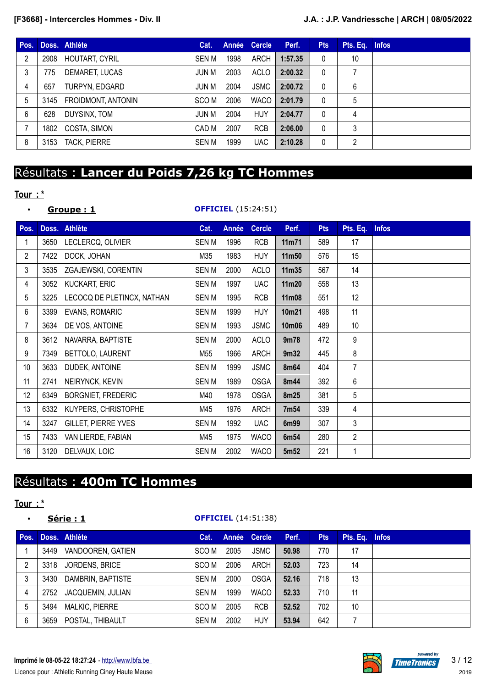| Pos. |      | Doss. Athlète         | Cat.  | Année | <b>Cercle</b> | Perf.   | <b>Pts</b>   | Pts. Eq. Infos |  |
|------|------|-----------------------|-------|-------|---------------|---------|--------------|----------------|--|
| 2    | 2908 | <b>HOUTART, CYRIL</b> | SEN M | 1998  | ARCH          | 1:57.35 | 0            | 10             |  |
| 3    | 775  | DEMARET, LUCAS        | JUN M | 2003  | ACLO          | 2:00.32 | $\mathbf{0}$ |                |  |
| 4    | 657  | TURPYN, EDGARD        | JUN M | 2004  | <b>JSMC</b>   | 2:00.72 | $\mathbf{0}$ | 6              |  |
| 5    | 3145 | FROIDMONT, ANTONIN    | SCO M | 2006  | <b>WACO</b>   | 2:01.79 | $\mathbf{0}$ | 5              |  |
| 6    | 628  | DUYSINX, TOM          | JUN M | 2004  | HUY           | 2:04.77 | 0            | 4              |  |
|      | 1802 | COSTA, SIMON          | CAD M | 2007  | <b>RCB</b>    | 2:06.00 | $\mathbf{0}$ | 3              |  |
| 8    | 3153 | <b>TACK, PIERRE</b>   | SEN M | 1999  | <b>UAC</b>    | 2:10.28 | 0            | 2              |  |

# Résultats : **Lancer du Poids 7,26 kg TC Hommes**

## **Tour : \***

| $\bullet$      |      | Groupe:1                   | <b>OFFICIEL</b> (15:24:51) |       |               |                  |            |                |              |
|----------------|------|----------------------------|----------------------------|-------|---------------|------------------|------------|----------------|--------------|
| Pos.           |      | Doss. Athlète              | Cat.                       | Année | <b>Cercle</b> | Perf.            | <b>Pts</b> | Pts. Eq.       | <b>Infos</b> |
| 1              | 3650 | LECLERCQ, OLIVIER          | <b>SENM</b>                | 1996  | <b>RCB</b>    | 11m71            | 589        | 17             |              |
| $\overline{2}$ | 7422 | DOCK, JOHAN                | M35                        | 1983  | <b>HUY</b>    | 11m50            | 576        | 15             |              |
| 3              | 3535 | ZGAJEWSKI, CORENTIN        | SEN M                      | 2000  | <b>ACLO</b>   | 11m35            | 567        | 14             |              |
| 4              | 3052 | <b>KUCKART, ERIC</b>       | <b>SEN M</b>               | 1997  | <b>UAC</b>    | 11m20            | 558        | 13             |              |
| 5              | 3225 | LECOCQ DE PLETINCX, NATHAN | <b>SENM</b>                | 1995  | <b>RCB</b>    | 11m08            | 551        | 12             |              |
| 6              | 3399 | EVANS, ROMARIC             | SEN M                      | 1999  | <b>HUY</b>    | 10m21            | 498        | 11             |              |
| 7              | 3634 | DE VOS, ANTOINE            | <b>SENM</b>                | 1993  | <b>JSMC</b>   | 10m06            | 489        | 10             |              |
| 8              | 3612 | NAVARRA, BAPTISTE          | <b>SENM</b>                | 2000  | <b>ACLO</b>   | 9m78             | 472        | 9              |              |
| 9              | 7349 | BETTOLO, LAURENT           | M55                        | 1966  | <b>ARCH</b>   | 9m32             | 445        | 8              |              |
| 10             | 3633 | DUDEK, ANTOINE             | <b>SENM</b>                | 1999  | <b>JSMC</b>   | 8m64             | 404        | 7              |              |
| 11             | 2741 | NEIRYNCK, KEVIN            | <b>SEN M</b>               | 1989  | <b>OSGA</b>   | 8m44             | 392        | 6              |              |
| 12             | 6349 | <b>BORGNIET, FREDERIC</b>  | M40                        | 1978  | <b>OSGA</b>   | 8m25             | 381        | 5              |              |
| 13             | 6332 | KUYPERS, CHRISTOPHE        | M45                        | 1976  | <b>ARCH</b>   | 7m54             | 339        | 4              |              |
| 14             | 3247 | <b>GILLET, PIERRE YVES</b> | <b>SENM</b>                | 1992  | <b>UAC</b>    | 6m99             | 307        | 3              |              |
| 15             | 7433 | VAN LIERDE, FABIAN         | M45                        | 1975  | <b>WACO</b>   | 6m54             | 280        | $\overline{c}$ |              |
| 16             | 3120 | DELVAUX, LOIC              | <b>SENM</b>                | 2002  | <b>WACO</b>   | 5m <sub>52</sub> | 221        | 1              |              |

# Résultats : **400m TC Hommes**

### **Tour : \***

## • **Série : 1 OFFICIEL** (14:51:38)

| Pos. |      | Doss. Athlète         | Cat.         |      | Année Cercle | Perf. | <b>Pts</b> | Pts. Eq. Infos |  |
|------|------|-----------------------|--------------|------|--------------|-------|------------|----------------|--|
|      | 3449 | VANDOOREN, GATIEN     | SCO M        | 2005 | <b>JSMC</b>  | 50.98 | 770        | 17             |  |
| 2    | 3318 | <b>JORDENS, BRICE</b> | SCO M        | 2006 | ARCH         | 52.03 | 723        | 14             |  |
| 3    | 3430 | DAMBRIN, BAPTISTE     | SEN M        | 2000 | <b>OSGA</b>  | 52.16 | 718        | 13             |  |
| 4    | 2752 | JACQUEMIN, JULIAN     | SEN M        | 1999 | <b>WACO</b>  | 52.33 | 710        | 11             |  |
| 5    | 3494 | <b>MALKIC, PIERRE</b> | SCO M        | 2005 | <b>RCB</b>   | 52.52 | 702        | 10             |  |
| 6    | 3659 | POSTAL, THIBAULT      | <b>SEN M</b> | 2002 | <b>HUY</b>   | 53.94 | 642        |                |  |

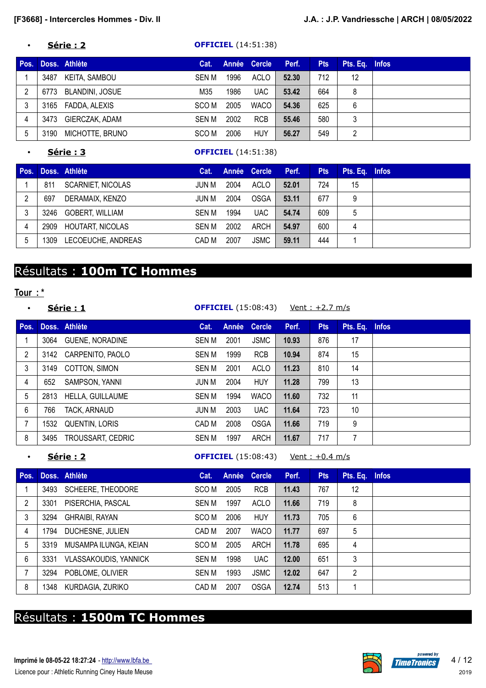### • **Série : 2 OFFICIEL** (14:51:38)

| Pos. |      | Doss. Athlète   | Cat.  |      | Année Cercle | Perf. | <b>Pts</b> | Pts. Eq. Infos           |  |
|------|------|-----------------|-------|------|--------------|-------|------------|--------------------------|--|
|      | 3487 | KEITA, SAMBOU   | SEN M | 1996 | ACLO         | 52.30 | 712        | 12                       |  |
| 2    | 6773 | BLANDINI, JOSUE | M35   | 1986 | <b>UAC</b>   | 53.42 | 664        | 8                        |  |
| 3    | 3165 | FADDA, ALEXIS   | SCO M | 2005 | <b>WACO</b>  | 54.36 | 625        | 6                        |  |
| 4    | 3473 | GIERCZAK, ADAM  | SEN M | 2002 | <b>RCB</b>   | 55.46 | 580        | 3                        |  |
| 5    | 3190 | MICHOTTE, BRUNO | SCO M | 2006 | <b>HUY</b>   | 56.27 | 549        | $\overline{\phantom{a}}$ |  |

## • **Série : 3 OFFICIEL** (14:51:38)

| Pos. |      | Doss. Athlète            | Cat.  |      | Année Cercle | Perf. | <b>Pts</b> | Pts. Eq. Infos |  |
|------|------|--------------------------|-------|------|--------------|-------|------------|----------------|--|
|      | 811  | <b>SCARNIET, NICOLAS</b> | JUN M | 2004 | ACLO         | 52.01 | 724        | 15             |  |
|      | 697  | DERAMAIX, KENZO          | JUN M | 2004 | <b>OSGA</b>  | 53.11 | 677        | 9              |  |
|      | 3246 | GOBERT, WILLIAM          | SEN M | 1994 | <b>UAC</b>   | 54.74 | 609        | 5              |  |
| 4    | 2909 | <b>HOUTART, NICOLAS</b>  | SEN M | 2002 | ARCH         | 54.97 | 600        | 4              |  |
| 5    | 1309 | LECOEUCHE, ANDREAS       | CAD M | 2007 | <b>JSMC</b>  | 59.11 | 444        |                |  |

# Résultats : **100m TC Hommes**

## **Tour : \***

|      |                         | Cat.                           |      |             | Perf.        | <b>Pts</b>                 |    | <b>Infos</b>                      |
|------|-------------------------|--------------------------------|------|-------------|--------------|----------------------------|----|-----------------------------------|
| 3064 | <b>GUENE, NORADINE</b>  | SEN M                          | 2001 | <b>JSMC</b> | 10.93        | 876                        | 17 |                                   |
| 3142 | CARPENITO, PAOLO        | <b>SEN M</b>                   | 1999 | <b>RCB</b>  | 10.94        | 874                        | 15 |                                   |
| 3149 | COTTON, SIMON           | SEN M                          | 2001 | ACLO        | 11.23        | 810                        | 14 |                                   |
| 652  | SAMPSON, YANNI          | JUN M                          | 2004 | <b>HUY</b>  | 11.28        | 799                        | 13 |                                   |
| 2813 | <b>HELLA, GUILLAUME</b> | <b>SEN M</b>                   | 1994 | <b>WACO</b> | 11.60        | 732                        | 11 |                                   |
| 766  | TACK, ARNAUD            | JUN M                          | 2003 | <b>UAC</b>  | 11.64        | 723                        | 10 |                                   |
| 1532 | QUENTIN, LORIS          | CAD M                          | 2008 | <b>OSGA</b> | 11.66        | 719                        | 9  |                                   |
| 3495 | TROUSSART, CEDRIC       | <b>SEN M</b>                   | 1997 | <b>ARCH</b> | 11.67        | 717                        | 7  |                                   |
|      |                         | Série: 1<br>Pos. Doss. Athlète |      |             | Année Cercle | <b>OFFICIEL</b> (15:08:43) |    | <u>Vent: +2.7 m/s</u><br>Pts. Eq. |

**Série : 2 OFFICIEL** (15:08:43) Vent : +0.4 m/s

| Pos. |      | Doss. Athlète                | Cat.         |      | Année Cercle | Perf. | <b>Pts</b> | Pts. Eq. | <b>Infos</b> |
|------|------|------------------------------|--------------|------|--------------|-------|------------|----------|--------------|
|      | 3493 | SCHEERE, THEODORE            | SCO M        | 2005 | <b>RCB</b>   | 11.43 | 767        | 12       |              |
| 2    | 3301 | PISERCHIA, PASCAL            | <b>SEN M</b> | 1997 | ACLO         | 11.66 | 719        | 8        |              |
| 3    | 3294 | <b>GHRAIBI, RAYAN</b>        | SCO M        | 2006 | <b>HUY</b>   | 11.73 | 705        | 6        |              |
| 4    | 1794 | DUCHESNE, JULIEN             | CAD M        | 2007 | <b>WACO</b>  | 11.77 | 697        | 5        |              |
| 5    | 3319 | MUSAMPA ILUNGA, KEIAN        | SCO M        | 2005 | ARCH         | 11.78 | 695        | 4        |              |
| 6    | 3331 | <b>VLASSAKOUDIS, YANNICK</b> | <b>SEN M</b> | 1998 | <b>UAC</b>   | 12.00 | 651        | 3        |              |
|      | 3294 | POBLOME, OLIVIER             | <b>SEN M</b> | 1993 | <b>JSMC</b>  | 12.02 | 647        | 2        |              |
| 8    | 1348 | KURDAGIA, ZURIKO             | CAD M        | 2007 | <b>OSGA</b>  | 12.74 | 513        |          |              |

# Résultats : **1500m TC Hommes**

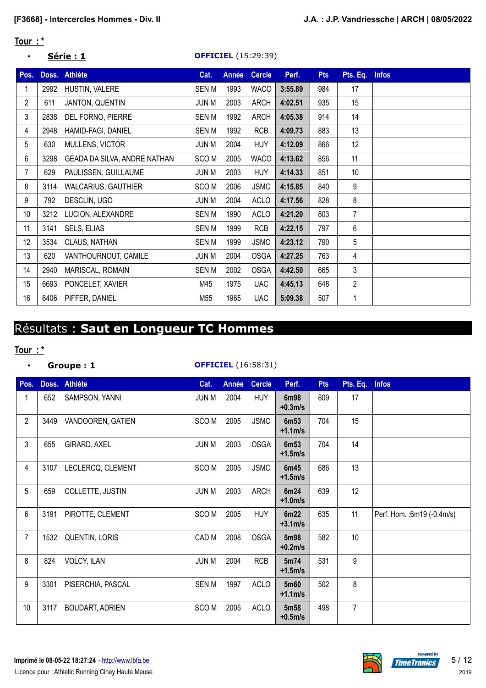## **Tour : \***

## • **Série : 1 OFFICIEL** (15:29:39)

| Pos.           | Doss. | <b>Athlète</b>               | Cat.             | <b>Année</b> | <b>Cercle</b> | Perf.   | <b>Pts</b> | Pts. Eq.       | <b>Infos</b> |
|----------------|-------|------------------------------|------------------|--------------|---------------|---------|------------|----------------|--------------|
|                | 2992  | HUSTIN, VALERE               | <b>SENM</b>      | 1993         | <b>WACO</b>   | 3:55.89 | 984        | 17             |              |
| $\overline{2}$ | 611   | JANTON, QUENTIN              | <b>JUN M</b>     | 2003         | <b>ARCH</b>   | 4:02.51 | 935        | 15             |              |
| 3              | 2838  | DEL FORNO, PIERRE            | <b>SENM</b>      | 1992         | <b>ARCH</b>   | 4:05.38 | 914        | 14             |              |
| 4              | 2948  | HAMID-FAGI, DANIEL           | <b>SENM</b>      | 1992         | <b>RCB</b>    | 4:09.73 | 883        | 13             |              |
| 5              | 630   | MULLENS, VICTOR              | JUN M            | 2004         | <b>HUY</b>    | 4:12.09 | 866        | 12             |              |
| 6              | 3298  | GEADA DA SILVA, ANDRE NATHAN | SCO <sub>M</sub> | 2005         | <b>WACO</b>   | 4:13.62 | 856        | 11             |              |
| $\overline{7}$ | 629   | PAULISSEN, GUILLAUME         | <b>JUN M</b>     | 2003         | <b>HUY</b>    | 4:14.33 | 851        | 10             |              |
| 8              | 3114  | WALCARIUS, GAUTHIER          | SCO <sub>M</sub> | 2006         | <b>JSMC</b>   | 4:15.85 | 840        | 9              |              |
| 9              | 792   | DESCLIN, UGO                 | <b>JUN M</b>     | 2004         | <b>ACLO</b>   | 4:17.56 | 828        | 8              |              |
| 10             | 3212  | LUCION, ALEXANDRE            | <b>SENM</b>      | 1990         | <b>ACLO</b>   | 4:21.20 | 803        | $\overline{7}$ |              |
| 11             | 3141  | SELS, ELIAS                  | <b>SENM</b>      | 1999         | <b>RCB</b>    | 4:22.15 | 797        | 6              |              |
| 12             | 3534  | CLAUS, NATHAN                | <b>SENM</b>      | 1999         | <b>JSMC</b>   | 4:23.12 | 790        | 5              |              |
| 13             | 620   | VANTHOURNOUT, CAMILE         | <b>JUN M</b>     | 2004         | <b>OSGA</b>   | 4:27.25 | 763        | 4              |              |
| 14             | 2940  | MARISCAL, ROMAIN             | SEN M            | 2002         | <b>OSGA</b>   | 4:42.50 | 665        | 3              |              |
| 15             | 6693  | PONCELET, XAVIER             | M45              | 1975         | <b>UAC</b>    | 4:45.13 | 648        | $\overline{2}$ |              |
| 16             | 6406  | PIFFER, DANIEL               | M55              | 1965         | <b>UAC</b>    | 5:09.38 | 507        | 1              |              |

# Résultats : **Saut en Longueur TC Hommes**

## **Tour : \***

## • **Groupe : 1 OFFICIEL** (16:58:31)

| Pos.           |      | Doss. Athlète          | Cat.             | <b>Année</b> | <b>Cercle</b> | Perf.              | <b>Pts</b> | Pts. Eq.       | <b>Infos</b>                |
|----------------|------|------------------------|------------------|--------------|---------------|--------------------|------------|----------------|-----------------------------|
| 1              | 652  | SAMPSON, YANNI         | <b>JUN M</b>     | 2004         | <b>HUY</b>    | 6m98<br>$+0.3$ m/s | 809        | 17             |                             |
| $\overline{2}$ | 3449 | VANDOOREN, GATIEN      | SCO <sub>M</sub> | 2005         | <b>JSMC</b>   | 6m53<br>$+1.1m/s$  | 704        | 15             |                             |
| $\mathfrak{Z}$ | 655  | GIRARD, AXEL           | <b>JUN M</b>     | 2003         | <b>OSGA</b>   | 6m53<br>$+1.5m/s$  | 704        | 14             |                             |
| $\overline{4}$ | 3107 | LECLERCQ, CLEMENT      | SCO <sub>M</sub> | 2005         | <b>JSMC</b>   | 6m45<br>$+1.5m/s$  | 686        | 13             |                             |
| 5              | 659  | COLLETTE, JUSTIN       | <b>JUN M</b>     | 2003         | <b>ARCH</b>   | 6m24<br>$+1.0m/s$  | 639        | 12             |                             |
| 6              | 3191 | PIROTTE, CLEMENT       | SCO <sub>M</sub> | 2005         | <b>HUY</b>    | 6m22<br>$+3.1m/s$  | 635        | 11             | Perf. Hom. : 6m19 (-0.4m/s) |
| $\overline{7}$ | 1532 | <b>QUENTIN, LORIS</b>  | CAD M            | 2008         | <b>OSGA</b>   | 5m98<br>$+0.2$ m/s | 582        | 10             |                             |
| 8              | 824  | <b>VOLCY, ILAN</b>     | <b>JUN M</b>     | 2004         | <b>RCB</b>    | 5m74<br>$+1.5m/s$  | 531        | 9              |                             |
| 9              | 3301 | PISERCHIA, PASCAL      | <b>SENM</b>      | 1997         | <b>ACLO</b>   | 5m60<br>$+1.1m/s$  | 502        | 8              |                             |
| 10             | 3117 | <b>BOUDART, ADRIEN</b> | SCO <sub>M</sub> | 2005         | <b>ACLO</b>   | 5m58<br>$+0.5$ m/s | 498        | $\overline{7}$ |                             |

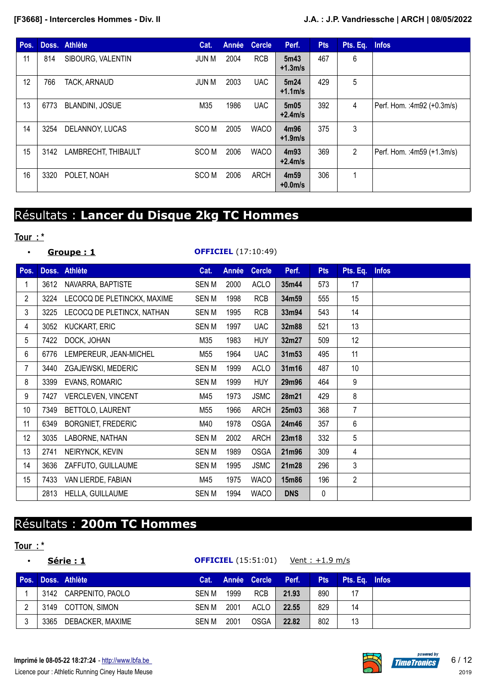| Pos. |      | Doss. Athlète          | Cat.             | Année | <b>Cercle</b> | Perf.                         | <b>Pts</b> | Pts. Eq. | <b>Infos</b>               |
|------|------|------------------------|------------------|-------|---------------|-------------------------------|------------|----------|----------------------------|
| 11   | 814  | SIBOURG, VALENTIN      | JUN M            | 2004  | <b>RCB</b>    | 5m43<br>$+1.3m/s$             | 467        | 6        |                            |
| 12   | 766  | TACK, ARNAUD           | JUN M            | 2003  | <b>UAC</b>    | 5m24<br>$+1.1m/s$             | 429        | 5        |                            |
| 13   | 6773 | <b>BLANDINI, JOSUE</b> | M35              | 1986  | <b>UAC</b>    | 5m05<br>$+2.4m/s$             | 392        | 4        | Perf. Hom.: 4m92 (+0.3m/s) |
| 14   | 3254 | DELANNOY, LUCAS        | SCO M            | 2005  | <b>WACO</b>   | 4m96<br>$+1.9m/s$             | 375        | 3        |                            |
| 15   | 3142 | LAMBRECHT, THIBAULT    | SCO <sub>M</sub> | 2006  | <b>WACO</b>   | 4m93<br>$+2.4m/s$             | 369        | 2        | Perf. Hom.: 4m59 (+1.3m/s) |
| 16   | 3320 | POLET, NOAH            | SCO <sub>M</sub> | 2006  | <b>ARCH</b>   | 4m <sub>59</sub><br>$+0.0m/s$ | 306        | 1        |                            |

# Résultats : **Lancer du Disque 2kg TC Hommes**

## **Tour : \***

## • **Groupe : 1 OFFICIEL** (17:10:49)

| Pos.           |      | Doss. Athlète               | Cat.        | Année | <b>Cercle</b> | Perf.      | <b>Pts</b> | Pts. Eq.       | <b>Infos</b> |
|----------------|------|-----------------------------|-------------|-------|---------------|------------|------------|----------------|--------------|
|                | 3612 | NAVARRA, BAPTISTE           | SEN M       | 2000  | <b>ACLO</b>   | 35m44      | 573        | 17             |              |
| $\overline{2}$ | 3224 | LECOCQ DE PLETINCKX, MAXIME | <b>SENM</b> | 1998  | <b>RCB</b>    | 34m59      | 555        | 15             |              |
| 3              | 3225 | LECOCQ DE PLETINCX, NATHAN  | <b>SENM</b> | 1995  | <b>RCB</b>    | 33m94      | 543        | 14             |              |
| 4              | 3052 | <b>KUCKART, ERIC</b>        | <b>SENM</b> | 1997  | <b>UAC</b>    | 32m88      | 521        | 13             |              |
| 5              | 7422 | DOCK, JOHAN                 | M35         | 1983  | <b>HUY</b>    | 32m27      | 509        | 12             |              |
| 6              | 6776 | LEMPEREUR, JEAN-MICHEL      | M55         | 1964  | <b>UAC</b>    | 31m53      | 495        | 11             |              |
| 7              | 3440 | ZGAJEWSKI, MEDERIC          | <b>SENM</b> | 1999  | <b>ACLO</b>   | 31m16      | 487        | 10             |              |
| 8              | 3399 | <b>EVANS, ROMARIC</b>       | <b>SENM</b> | 1999  | <b>HUY</b>    | 29m96      | 464        | 9              |              |
| 9              | 7427 | VERCLEVEN, VINCENT          | M45         | 1973  | <b>JSMC</b>   | 28m21      | 429        | 8              |              |
| 10             | 7349 | BETTOLO, LAURENT            | M55         | 1966  | <b>ARCH</b>   | 25m03      | 368        | 7              |              |
| 11             | 6349 | <b>BORGNIET, FREDERIC</b>   | M40         | 1978  | <b>OSGA</b>   | 24m46      | 357        | 6              |              |
| 12             | 3035 | LABORNE, NATHAN             | <b>SENM</b> | 2002  | <b>ARCH</b>   | 23m18      | 332        | 5              |              |
| 13             | 2741 | NEIRYNCK, KEVIN             | <b>SENM</b> | 1989  | <b>OSGA</b>   | 21m96      | 309        | 4              |              |
| 14             | 3636 | ZAFFUTO, GUILLAUME          | <b>SENM</b> | 1995  | <b>JSMC</b>   | 21m28      | 296        | 3              |              |
| 15             | 7433 | VAN LIERDE, FABIAN          | M45         | 1975  | <b>WACO</b>   | 15m86      | 196        | $\overline{2}$ |              |
|                | 2813 | HELLA, GUILLAUME            | <b>SENM</b> | 1994  | <b>WACO</b>   | <b>DNS</b> | 0          |                |              |

# Résultats : **200m TC Hommes**

# **Tour : \***

|      |      | Série: 1              |       |      | <b>OFFICIEL</b> (15:51:01) | <u> Vent : +1.9 m/s</u> |            |                |  |
|------|------|-----------------------|-------|------|----------------------------|-------------------------|------------|----------------|--|
| Pos. |      | Doss, Athlète         |       |      | Cat. Année Cercle Perf.    |                         | <b>Pts</b> | Pts. Eq. Infos |  |
|      |      | 3142 CARPENITO, PAOLO | SEN M | 1999 | <b>RCB</b>                 | 21.93                   | 890        | 17             |  |
| っ    |      | 3149 COTTON, SIMON    | SEN M | 2001 | ACLO                       | 22.55                   | 829        | 14             |  |
| 3    | 3365 | DEBACKER, MAXIME      | SEN M | 2001 | <b>OSGA</b>                | 22.82                   | 802        | 13             |  |

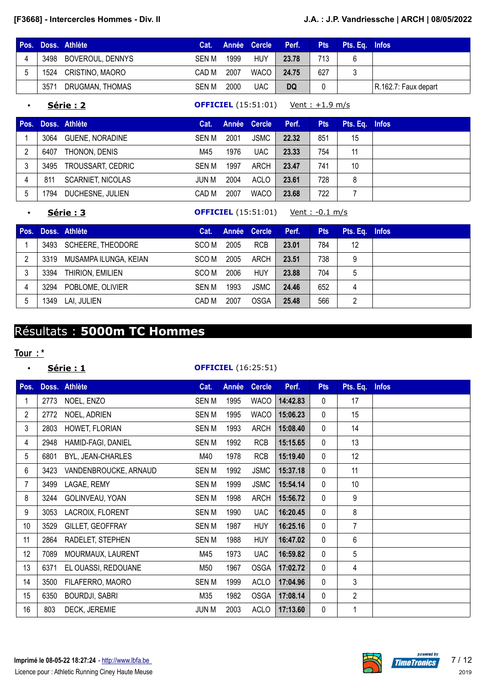| Pos. |      | Doss. Athlète         | Cat. . |      | Année Cercle | Perf. | <b>Pts</b> | Pts. Eq. Infos |                      |
|------|------|-----------------------|--------|------|--------------|-------|------------|----------------|----------------------|
|      |      | 3498 BOVEROUL, DENNYS | SEN M  | 1999 | <b>HUY</b>   | 23.78 | 713        |                |                      |
|      | 1524 | CRISTINO, MAORO       | CAD M  | 2007 | <b>WACO</b>  | 24.75 | 627        |                |                      |
|      | 3571 | DRUGMAN, THOMAS       | SEN M  | 2000 | UAC          | DQ    |            |                | R.162.7: Faux depart |

### • **Série : 2 OFFICIEL** (15:51:01) Vent : +1.9 m/s

| Pos. |      | Doss. Athlète            | Cat.         |      | Année Cercle <sup>+</sup> | Perf. | <b>Pts</b> | Pts. Eq. Infos |  |
|------|------|--------------------------|--------------|------|---------------------------|-------|------------|----------------|--|
|      | 3064 | <b>GUENE, NORADINE</b>   | <b>SEN M</b> | 2001 | <b>JSMC</b>               | 22.32 | 851        | 15             |  |
| 2    | 6407 | THONON, DENIS            | M45          | 1976 | <b>UAC</b>                | 23.33 | 754        | 11             |  |
| 3    | 3495 | TROUSSART, CEDRIC        | SEN M        | 1997 | ARCH                      | 23.47 | 741        | 10             |  |
| 4    | 811  | <b>SCARNIET, NICOLAS</b> | JUN M        | 2004 | ACLO                      | 23.61 | 728        | 8              |  |
| 5    | 1794 | DUCHESNE, JULIEN         | CAD M        | 2007 | <b>WACO</b>               | 23.68 | 722        |                |  |

• **Série : 3 OFFICIEL** (15:51:01) Vent : -0.1 m/s

| Pos. |      | Doss. Athlète         | Cat.  |      | Année Cercle | Perf. | <b>Pts</b> | Pts. Eq. Infos |  |
|------|------|-----------------------|-------|------|--------------|-------|------------|----------------|--|
|      | 3493 | SCHEERE, THEODORE     | SCO M | 2005 | <b>RCB</b>   | 23.01 | 784        | 12             |  |
| 2    | 3319 | MUSAMPA ILUNGA, KEIAN | SCO M | 2005 | ARCH         | 23.51 | 738        | 9              |  |
|      | 3394 | THIRION, EMILIEN      | SCO M | 2006 | HUY          | 23.88 | 704        | 5              |  |
| 4    | 3294 | POBLOME, OLIVIER      | SEN M | 1993 | <b>JSMC</b>  | 24.46 | 652        | 4              |  |
|      | 1349 | LAI, JULIEN           | CAD M | 2007 | <b>OSGA</b>  | 25.48 | 566        | 2              |  |

# Résultats : **5000m TC Hommes**

## **Tour : \***

## • **Série : 1 OFFICIEL** (16:25:51)

| Pos.            |      | Doss. Athlète         | Cat.         | Année | <b>Cercle</b> | Perf.    | <b>Pts</b>   | Pts. Eq.       | <b>Infos</b> |
|-----------------|------|-----------------------|--------------|-------|---------------|----------|--------------|----------------|--------------|
| 1               | 2773 | NOEL, ENZO            | <b>SENM</b>  | 1995  | <b>WACO</b>   | 14:42.83 | $\mathbf{0}$ | 17             |              |
| $\overline{2}$  | 2772 | NOEL, ADRIEN          | <b>SEN M</b> | 1995  | <b>WACO</b>   | 15:06.23 | $\mathbf 0$  | 15             |              |
| 3               | 2803 | HOWET, FLORIAN        | <b>SENM</b>  | 1993  | <b>ARCH</b>   | 15:08.40 | $\Omega$     | 14             |              |
| 4               | 2948 | HAMID-FAGI, DANIEL    | <b>SEN M</b> | 1992  | <b>RCB</b>    | 15:15.65 | $\mathbf 0$  | 13             |              |
| 5               | 6801 | BYL, JEAN-CHARLES     | M40          | 1978  | <b>RCB</b>    | 15:19.40 | $\mathbf 0$  | 12             |              |
| 6               | 3423 | VANDENBROUCKE, ARNAUD | SEN M        | 1992  | <b>JSMC</b>   | 15:37.18 | $\mathbf{0}$ | 11             |              |
| 7               | 3499 | LAGAE, REMY           | SEN M        | 1999  | <b>JSMC</b>   | 15:54.14 | $\mathbf 0$  | 10             |              |
| 8               | 3244 | GOLINVEAU, YOAN       | <b>SENM</b>  | 1998  | <b>ARCH</b>   | 15:56.72 | $\mathbf 0$  | 9              |              |
| 9               | 3053 | LACROIX, FLORENT      | <b>SEN M</b> | 1990  | <b>UAC</b>    | 16:20.45 | $\mathbf 0$  | 8              |              |
| 10 <sup>1</sup> | 3529 | GILLET, GEOFFRAY      | SEN M        | 1987  | <b>HUY</b>    | 16:25.16 | $\mathbf 0$  | $\overline{7}$ |              |
| 11              | 2864 | RADELET, STEPHEN      | <b>SENM</b>  | 1988  | <b>HUY</b>    | 16:47.02 | $\mathbf{0}$ | 6              |              |
| 12              | 7089 | MOURMAUX, LAURENT     | M45          | 1973  | <b>UAC</b>    | 16:59.82 | $\mathbf 0$  | 5              |              |
| 13              | 6371 | EL OUASSI, REDOUANE   | M50          | 1967  | <b>OSGA</b>   | 17:02.72 | $\mathbf 0$  | 4              |              |
| 14              | 3500 | FILAFERRO, MAORO      | <b>SENM</b>  | 1999  | <b>ACLO</b>   | 17:04.96 | $\mathbf{0}$ | 3              |              |
| 15              | 6350 | <b>BOURDJI, SABRI</b> | M35          | 1982  | <b>OSGA</b>   | 17:08.14 | $\mathbf 0$  | $\overline{2}$ |              |
| 16              | 803  | DECK, JEREMIE         | <b>JUN M</b> | 2003  | <b>ACLO</b>   | 17:13.60 | $\mathbf 0$  |                |              |

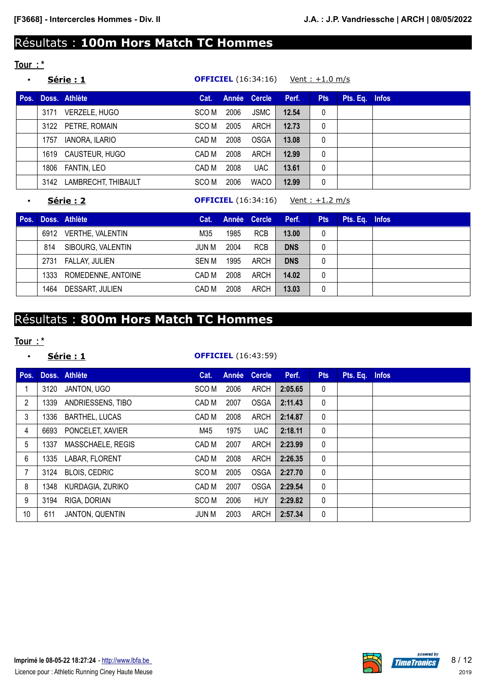# Résultats : **100m Hors Match TC Hommes**

# **Tour : \***

|      |      | <u> Série : 1</u>   |       |      | <b>OFFICIEL</b> (16:34:16) |       | <u>Vent: +1.0 m/s</u> |                |  |
|------|------|---------------------|-------|------|----------------------------|-------|-----------------------|----------------|--|
| Pos. |      | Doss. Athlète       | Cat.  |      | Année Cercle               | Perf. | <b>Pts</b>            | Pts. Eq. Infos |  |
|      | 3171 | VERZELE, HUGO       | SCO M | 2006 | <b>JSMC</b>                | 12.54 | $\mathbf{0}$          |                |  |
|      |      | 3122 PETRE, ROMAIN  | SCO M | 2005 | ARCH                       | 12.73 | $\mathbf{0}$          |                |  |
|      | 1757 | IANORA, ILARIO      | CAD M | 2008 | <b>OSGA</b>                | 13.08 | $\mathbf{0}$          |                |  |
|      | 1619 | CAUSTEUR, HUGO      | CAD M | 2008 | ARCH                       | 12.99 | $\mathbf{0}$          |                |  |
|      | 1806 | FANTIN, LEO         | CAD M | 2008 | <b>UAC</b>                 | 13.61 | $\mathbf{0}$          |                |  |
|      | 3142 | LAMBRECHT, THIBAULT | SCO M | 2006 | <b>WACO</b>                | 12.99 | 0                     |                |  |

**Série : 2 OFFICIEL** (16:34:16) Vent : +1.2 m/s

| Pos. |      | Doss. Athlète      | Cat.  |      | Année Cercle | Perf.      | <b>Pts</b> | Pts. Eq. Infos |  |
|------|------|--------------------|-------|------|--------------|------------|------------|----------------|--|
|      | 6912 | VERTHE, VALENTIN   | M35   | 1985 | <b>RCB</b>   | 13.00      | 0          |                |  |
|      | 814  | SIBOURG, VALENTIN  | JUN M | 2004 | <b>RCB</b>   | <b>DNS</b> | 0          |                |  |
|      | 2731 | FALLAY, JULIEN     | SEN M | 1995 | ARCH         | <b>DNS</b> | 0          |                |  |
|      | 1333 | ROMEDENNE, ANTOINE | CAD M | 2008 | ARCH         | 14.02      | 0          |                |  |
|      | 1464 | DESSART, JULIEN    | CAD M | 2008 | ARCH         | 13.03      | 0          |                |  |

# Résultats : **800m Hors Match TC Hommes**

## **Tour : \***

## • **Série : 1 OFFICIEL** (16:43:59)

| Pos. |      | Doss. Athlète          | Cat.  | Année | <b>Cercle</b> | Perf.   | <b>Pts</b>   | Pts. Eq. Infos |  |
|------|------|------------------------|-------|-------|---------------|---------|--------------|----------------|--|
|      | 3120 | JANTON, UGO            | SCO M | 2006  | <b>ARCH</b>   | 2:05.65 | 0            |                |  |
| 2    | 1339 | ANDRIESSENS, TIBO      | CAD M | 2007  | <b>OSGA</b>   | 2:11.43 | $\mathbf 0$  |                |  |
| 3    | 1336 | <b>BARTHEL, LUCAS</b>  | CAD M | 2008  | ARCH          | 2:14.87 | $\mathbf{0}$ |                |  |
| 4    | 6693 | PONCELET, XAVIER       | M45   | 1975  | <b>UAC</b>    | 2:18.11 | 0            |                |  |
| 5    | 1337 | MASSCHAELE, REGIS      | CAD M | 2007  | ARCH          | 2:23.99 | $\mathbf{0}$ |                |  |
| 6    | 1335 | LABAR, FLORENT         | CAD M | 2008  | ARCH          | 2:26.35 | $\mathbf 0$  |                |  |
|      | 3124 | <b>BLOIS, CEDRIC</b>   | SCO M | 2005  | <b>OSGA</b>   | 2:27.70 | $\mathbf 0$  |                |  |
| 8    | 1348 | KURDAGIA, ZURIKO       | CAD M | 2007  | <b>OSGA</b>   | 2:29.54 | $\mathbf 0$  |                |  |
| 9    | 3194 | RIGA, DORIAN           | SCO M | 2006  | <b>HUY</b>    | 2:29.82 | $\mathbf{0}$ |                |  |
| 10   | 611  | <b>JANTON, QUENTIN</b> | JUN M | 2003  | ARCH          | 2:57.34 | 0            |                |  |

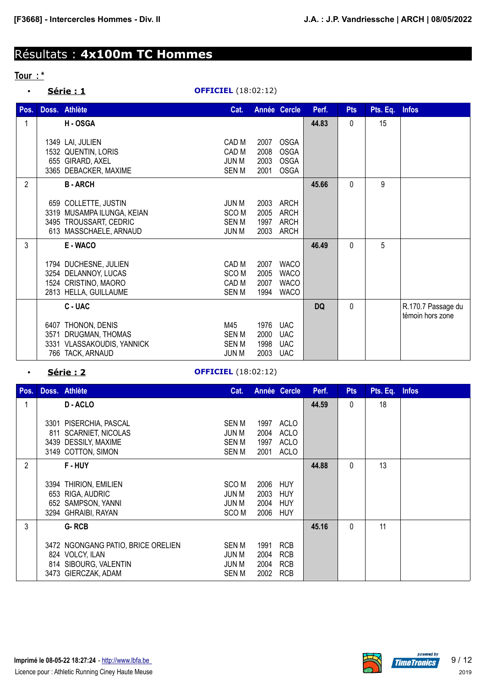# Résultats : **4x100m TC Hommes**

### **Tour : \***

• **Série : 1 OFFICIEL** (18:02:12)

| Pos.           | Doss. Athlète                                                                                          | Cat.                                               |                              | Année Cercle                                             | Perf.     | <b>Pts</b> | Pts. Eq. Infos |                                        |
|----------------|--------------------------------------------------------------------------------------------------------|----------------------------------------------------|------------------------------|----------------------------------------------------------|-----------|------------|----------------|----------------------------------------|
| 1              | H-OSGA                                                                                                 |                                                    |                              |                                                          | 44.83     | 0          | 15             |                                        |
|                | 1349 LAI, JULIEN<br>1532 QUENTIN, LORIS<br>655 GIRARD, AXEL<br>3365 DEBACKER, MAXIME                   | CAD M<br>CAD M<br>JUN M<br>SEN M                   | 2007<br>2008<br>2003<br>2001 | <b>OSGA</b><br><b>OSGA</b><br><b>OSGA</b><br><b>OSGA</b> |           |            |                |                                        |
| $\overline{2}$ | <b>B-ARCH</b>                                                                                          |                                                    |                              |                                                          | 45.66     | 0          | 9              |                                        |
|                | 659 COLLETTE, JUSTIN<br>3319 MUSAMPA ILUNGA, KEIAN<br>3495 TROUSSART, CEDRIC<br>613 MASSCHAELE, ARNAUD | JUN M<br>SCO <sub>M</sub><br>SEN M<br><b>JUN M</b> | 2003<br>2005<br>1997<br>2003 | ARCH<br><b>ARCH</b><br><b>ARCH</b><br>ARCH               |           |            |                |                                        |
| 3              | E - WACO                                                                                               |                                                    |                              |                                                          | 46.49     | 0          | 5              |                                        |
|                | 1794 DUCHESNE, JULIEN<br>3254 DELANNOY, LUCAS<br>1524 CRISTINO, MAORO<br>2813 HELLA, GUILLAUME         | CAD M<br>SCO <sub>M</sub><br>CAD M<br><b>SENM</b>  | 2007<br>2005<br>2007<br>1994 | <b>WACO</b><br><b>WACO</b><br><b>WACO</b><br><b>WACO</b> |           |            |                |                                        |
|                | C-UAC                                                                                                  |                                                    |                              |                                                          | <b>DQ</b> | $\Omega$   |                | R.170.7 Passage du<br>témoin hors zone |
|                | 6407 THONON, DENIS<br>3571 DRUGMAN, THOMAS<br>3331 VLASSAKOUDIS, YANNICK<br>766 TACK, ARNAUD           | M45<br><b>SENM</b><br><b>SENM</b><br><b>JUN M</b>  | 1976<br>2000<br>1998<br>2003 | <b>UAC</b><br><b>UAC</b><br><b>UAC</b><br><b>UAC</b>     |           |            |                |                                        |

## • **Série : 2 OFFICIEL** (18:02:12)

| Pos. |             | Doss. Athlète                                                                                         | Cat.                                                          |                              | Année Cercle                                             | Perf. | <b>Pts</b> | Pts. Eq. Infos |  |
|------|-------------|-------------------------------------------------------------------------------------------------------|---------------------------------------------------------------|------------------------------|----------------------------------------------------------|-------|------------|----------------|--|
|      |             | D-ACLO                                                                                                |                                                               |                              |                                                          | 44.59 | 0          | 18             |  |
|      | 3301<br>811 | PISERCHIA, PASCAL<br><b>SCARNIET, NICOLAS</b><br>3439 DESSILY, MAXIME<br>3149 COTTON, SIMON           | <b>SEN M</b><br><b>JUN M</b><br>SEN M<br><b>SENM</b>          | 1997<br>2004<br>1997<br>2001 | <b>ACLO</b><br><b>ACLO</b><br><b>ACLO</b><br><b>ACLO</b> |       |            |                |  |
| 2    |             | F-HUY                                                                                                 |                                                               |                              |                                                          | 44.88 | 0          | 13             |  |
|      |             | 3394 THIRION, EMILIEN<br>653 RIGA, AUDRIC<br>652 SAMPSON, YANNI<br>3294 GHRAIBI, RAYAN                | SCO <sub>M</sub><br><b>JUN M</b><br>JUN M<br>SCO <sub>M</sub> | 2006<br>2003<br>2004<br>2006 | HUY<br>HUY<br>HUY<br>HUY                                 |       |            |                |  |
| 3    |             | G-RCB                                                                                                 |                                                               |                              |                                                          | 45.16 | $\Omega$   | 11             |  |
|      |             | 3472 NGONGANG PATIO, BRICE ORELIEN<br>824 VOLCY, ILAN<br>814 SIBOURG, VALENTIN<br>3473 GIERCZAK, ADAM | <b>SENM</b><br>JUN M<br>JUN M<br><b>SENM</b>                  | 1991<br>2004<br>2004<br>2002 | <b>RCB</b><br><b>RCB</b><br><b>RCB</b><br><b>RCB</b>     |       |            |                |  |

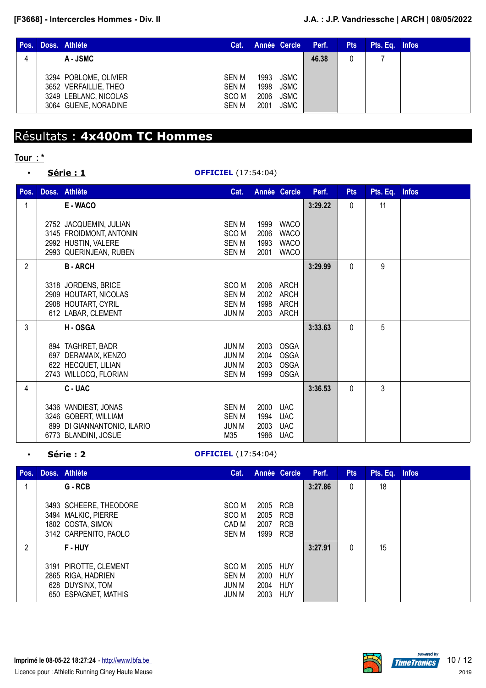| Pos. | Doss. Athlète                                                                                   | Cat.                                        |                              |                                                   | Année Cercle Perf. | <b>Pts</b> | Pts. Eq. Infos |  |
|------|-------------------------------------------------------------------------------------------------|---------------------------------------------|------------------------------|---------------------------------------------------|--------------------|------------|----------------|--|
|      | A-JSMC                                                                                          |                                             |                              |                                                   | 46.38              |            |                |  |
|      | 3294 POBLOME, OLIVIER<br>3652 VERFAILLIE, THEO<br>3249 LEBLANC, NICOLAS<br>3064 GUENE, NORADINE | SEN M<br>SEN M<br>SCO <sub>M</sub><br>SEN M | 1993<br>1998<br>2006<br>2001 | <b>JSMC</b><br><b>JSMC</b><br>JSMC<br><b>JSMC</b> |                    |            |                |  |

# Résultats : **4x400m TC Hommes**

# **Tour : \***

## • **Série : 1 OFFICIEL** (17:54:04)

| Pos.           | Doss. Athlète                                                                                       | Cat.                                                            |                              | Année Cercle                                             | Perf.   | <b>Pts</b> | Pts. Eq. | <b>Infos</b> |
|----------------|-----------------------------------------------------------------------------------------------------|-----------------------------------------------------------------|------------------------------|----------------------------------------------------------|---------|------------|----------|--------------|
| $\mathbf{1}$   | E - WACO                                                                                            |                                                                 |                              |                                                          | 3:29.22 | 0          | 11       |              |
|                | 2752 JACQUEMIN, JULIAN<br>3145 FROIDMONT, ANTONIN<br>2992 HUSTIN, VALERE<br>2993 QUERINJEAN, RUBEN  | <b>SEN M</b><br>SCO <sub>M</sub><br><b>SEN M</b><br><b>SENM</b> | 1999<br>2006<br>1993<br>2001 | <b>WACO</b><br><b>WACO</b><br><b>WACO</b><br><b>WACO</b> |         |            |          |              |
| $\overline{2}$ | <b>B-ARCH</b>                                                                                       |                                                                 |                              |                                                          | 3:29.99 | $\Omega$   | 9        |              |
|                | 3318 JORDENS, BRICE<br>2909 HOUTART, NICOLAS<br>2908 HOUTART, CYRIL<br>612 LABAR, CLEMENT           | SCO <sub>M</sub><br><b>SENM</b><br>SEN M<br><b>JUN M</b>        | 2006<br>2002<br>1998<br>2003 | ARCH<br><b>ARCH</b><br><b>ARCH</b><br>ARCH               |         |            |          |              |
| $\mathbf{3}$   | H-OSGA                                                                                              |                                                                 |                              |                                                          | 3:33.63 | 0          | 5        |              |
|                | 894 TAGHRET, BADR<br>697 DERAMAIX, KENZO<br>622 HECQUET, LILIAN<br>2743 WILLOCQ, FLORIAN            | JUN M<br><b>JUN M</b><br><b>JUN M</b><br><b>SENM</b>            | 2003<br>2004<br>2003<br>1999 | <b>OSGA</b><br><b>OSGA</b><br><b>OSGA</b><br><b>OSGA</b> |         |            |          |              |
| 4              | C - UAC                                                                                             |                                                                 |                              |                                                          | 3:36.53 | 0          | 3        |              |
|                | 3436 VANDIEST, JONAS<br>3246 GOBERT, WILLIAM<br>899 DI GIANNANTONIO, ILARIO<br>6773 BLANDINI, JOSUE | <b>SENM</b><br><b>SEN M</b><br><b>JUN M</b><br>M35              | 2000<br>1994<br>2003<br>1986 | <b>UAC</b><br><b>UAC</b><br><b>UAC</b><br><b>UAC</b>     |         |            |          |              |

## • **Série : 2 OFFICIEL** (17:54:04)

| Pos. | Doss, Athlète                                                                               | Cat.                                                     |                                  | Année Cercle                    | Perf.   | <b>Pts</b> | Pts. Eq. Infos |  |
|------|---------------------------------------------------------------------------------------------|----------------------------------------------------------|----------------------------------|---------------------------------|---------|------------|----------------|--|
|      | G - RCB                                                                                     |                                                          |                                  |                                 | 3:27.86 | 0          | 18             |  |
|      | 3493 SCHEERE, THEODORE<br>3494 MALKIC, PIERRE<br>1802 COSTA, SIMON<br>3142 CARPENITO, PAOLO | SCO M<br>SCO <sub>M</sub><br>CAD M<br>SEN M              | 2005<br>2005<br>2007<br>1999 RCB | RCB<br><b>RCB</b><br><b>RCB</b> |         |            |                |  |
| 2    | <b>F-HUY</b>                                                                                |                                                          |                                  |                                 | 3:27.91 | $\Omega$   | 15             |  |
|      | 3191 PIROTTE, CLEMENT<br>2865 RIGA, HADRIEN<br>628 DUYSINX, TOM<br>650 ESPAGNET, MATHIS     | SCO <sub>M</sub><br><b>SENM</b><br><b>JUN M</b><br>JUN M | 2005<br>2000<br>2004<br>2003     | HUY<br><b>HUY</b><br>HUY<br>HUY |         |            |                |  |

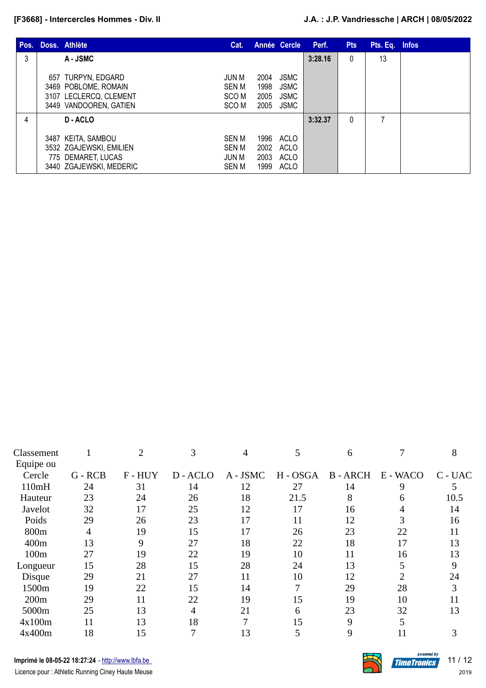| Pos. | Doss. Athlète                                                                                  | Cat.                                                        |                              | Année Cercle                                      | Perf.   | <b>Pts</b> | Pts. Eq. Infos |  |
|------|------------------------------------------------------------------------------------------------|-------------------------------------------------------------|------------------------------|---------------------------------------------------|---------|------------|----------------|--|
| 3    | A - JSMC                                                                                       |                                                             |                              |                                                   | 3:28.16 | 0          | 13             |  |
|      | 657 TURPYN, EDGARD<br>3469 POBLOME, ROMAIN<br>3107 LECLERCQ, CLEMENT<br>3449 VANDOOREN, GATIEN | JUN M<br>SEN M<br>SCO M<br>SCO M                            | 2004<br>1998<br>2005<br>2005 | <b>JSMC</b><br><b>JSMC</b><br><b>JSMC</b><br>JSMC |         |            |                |  |
| 4    | D-ACLO                                                                                         |                                                             |                              |                                                   | 3:32.37 | 0          | 7              |  |
|      | 3487 KEITA, SAMBOU<br>3532 ZGAJEWSKI, EMILIEN<br>775 DEMARET, LUCAS<br>3440 ZGAJEWSKI, MEDERIC | <b>SEN M</b><br><b>SEN M</b><br><b>JUN M</b><br><b>SENM</b> | 1996<br>2002<br>2003<br>1999 | ACLO<br>ACLO<br>ACLO<br>ACLO                      |         |            |                |  |

| Classement |           | 2     | 3      | 4        | 5        | 6      |          | 8       |
|------------|-----------|-------|--------|----------|----------|--------|----------|---------|
| Equipe ou  |           |       |        |          |          |        |          |         |
| Cercle     | $G - RCB$ | F-HUY | D-ACLO | A - JSMC | H - OSGA | B-ARCH | E - WACO | C - UAC |
| 110mH      | 24        | 31    | 14     | 12       | 27       | 14     | 9        | 5       |
| Hauteur    | 23        | 24    | 26     | 18       | 21.5     | 8      | 6        | 10.5    |
| Javelot    | 32        | 17    | 25     | 12       | 17       | 16     |          | 14      |
| Poids      | 29        | 26    | 23     | 17       | 11       | 12     | 3        | 16      |
| 800m       | 4         | 19    | 15     | 17       | 26       | 23     | 22       | 11      |
| 400m       | 13        | 9     | 27     | 18       | 22       | 18     | 17       | 13      |
| 100m       | 27        | 19    | 22     | 19       | 10       | 11     | 16       | 13      |
| Longueur   | 15        | 28    | 15     | 28       | 24       | 13     | 5        | 9       |
| Disque     | 29        | 21    | 27     | 11       | 10       | 12     | ר        | 24      |
| 1500m      | 19        | 22    | 15     | 14       | 7        | 29     | 28       | 3       |
| 200m       | 29        | 11    | 22     | 19       | 15       | 19     | 10       | 11      |
| 5000m      | 25        | 13    | 4      | 21       | 6        | 23     | 32       | 13      |
| 4x100m     | 11        | 13    | 18     | 7        | 15       | 9      | 5        |         |
| 4x400m     | 18        | 15    |        | 13       | 5        | 9      |          |         |